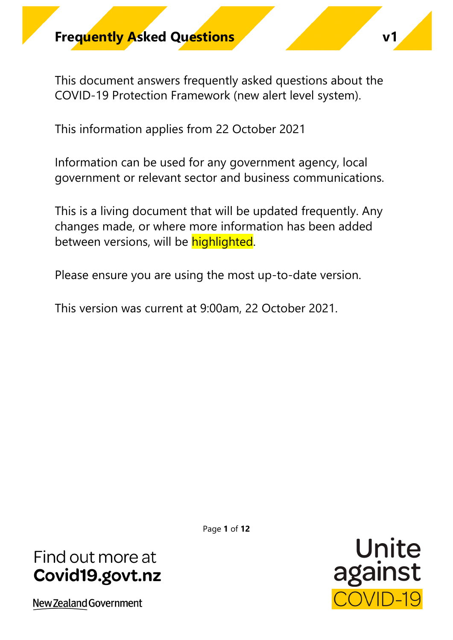This document answers frequently asked questions about the COVID-19 Protection Framework (new alert level system).

This information applies from 22 October 2021

Information can be used for any government agency, local government or relevant sector and business communications.

This is a living document that will be updated frequently. Any changes made, or where more information has been added between versions, will be **highlighted**.

Please ensure you are using the most up-to-date version.

This version was current at 9:00am, 22 October 2021.

Page **1** of **12**

# Find out more at Covid19.govt.nz

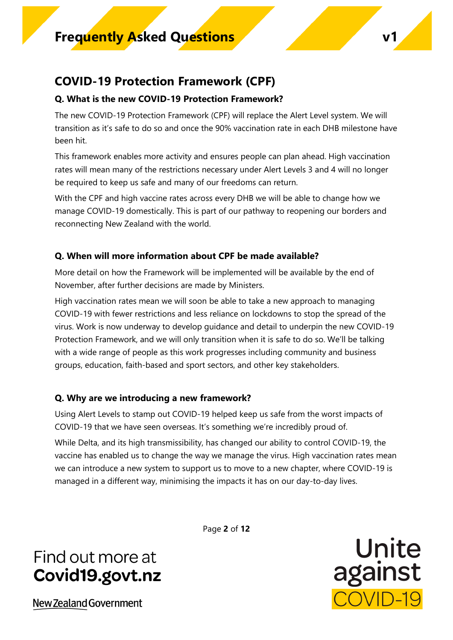### **COVID-19 Protection Framework (CPF)**

### **Q. What is the new COVID-19 Protection Framework?**

The new COVID-19 Protection Framework (CPF) will replace the Alert Level system. We will transition as it's safe to do so and once the 90% vaccination rate in each DHB milestone have been hit.

This framework enables more activity and ensures people can plan ahead. High vaccination rates will mean many of the restrictions necessary under Alert Levels 3 and 4 will no longer be required to keep us safe and many of our freedoms can return.

With the CPF and high vaccine rates across every DHB we will be able to change how we manage COVID-19 domestically. This is part of our pathway to reopening our borders and reconnecting New Zealand with the world.

### **Q. When will more information about CPF be made available?**

More detail on how the Framework will be implemented will be available by the end of November, after further decisions are made by Ministers.

High vaccination rates mean we will soon be able to take a new approach to managing COVID-19 with fewer restrictions and less reliance on lockdowns to stop the spread of the virus. Work is now underway to develop guidance and detail to underpin the new COVID-19 Protection Framework, and we will only transition when it is safe to do so. We'll be talking with a wide range of people as this work progresses including community and business groups, education, faith-based and sport sectors, and other key stakeholders.

### **Q. Why are we introducing a new framework?**

Using Alert Levels to stamp out COVID-19 helped keep us safe from the worst impacts of COVID-19 that we have seen overseas. It's something we're incredibly proud of.

While Delta, and its high transmissibility, has changed our ability to control COVID-19, the vaccine has enabled us to change the way we manage the virus. High vaccination rates mean we can introduce a new system to support us to move to a new chapter, where COVID-19 is managed in a different way, minimising the impacts it has on our day-to-day lives.

Page **2** of **12**

# Find out more at Covid19.govt.nz

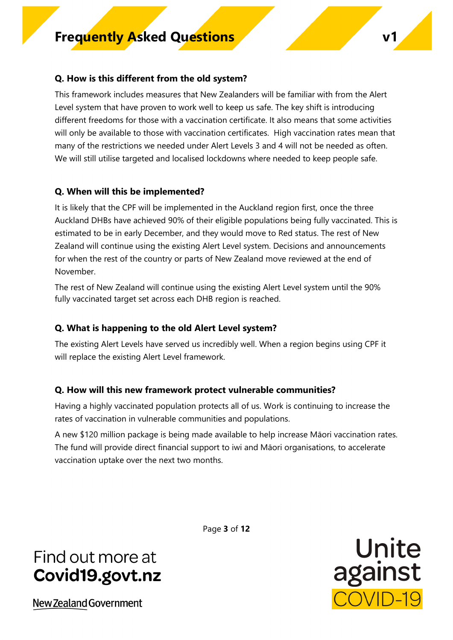### **Q. How is this different from the old system?**

This framework includes measures that New Zealanders will be familiar with from the Alert Level system that have proven to work well to keep us safe. The key shift is introducing different freedoms for those with a vaccination certificate. It also means that some activities will only be available to those with vaccination certificates. High vaccination rates mean that many of the restrictions we needed under Alert Levels 3 and 4 will not be needed as often. We will still utilise targeted and localised lockdowns where needed to keep people safe.

### **Q. When will this be implemented?**

It is likely that the CPF will be implemented in the Auckland region first, once the three Auckland DHBs have achieved 90% of their eligible populations being fully vaccinated. This is estimated to be in early December, and they would move to Red status. The rest of New Zealand will continue using the existing Alert Level system. Decisions and announcements for when the rest of the country or parts of New Zealand move reviewed at the end of November.

The rest of New Zealand will continue using the existing Alert Level system until the 90% fully vaccinated target set across each DHB region is reached.

### **Q. What is happening to the old Alert Level system?**

The existing Alert Levels have served us incredibly well. When a region begins using CPF it will replace the existing Alert Level framework.

### **Q. How will this new framework protect vulnerable communities?**

Having a highly vaccinated population protects all of us. Work is continuing to increase the rates of vaccination in vulnerable communities and populations.

A new \$120 million package is being made available to help increase Māori vaccination rates. The fund will provide direct financial support to iwi and Māori organisations, to accelerate vaccination uptake over the next two months.

# Find out more at Covid19.govt.nz

New Zealand Government

Page **3** of **12**

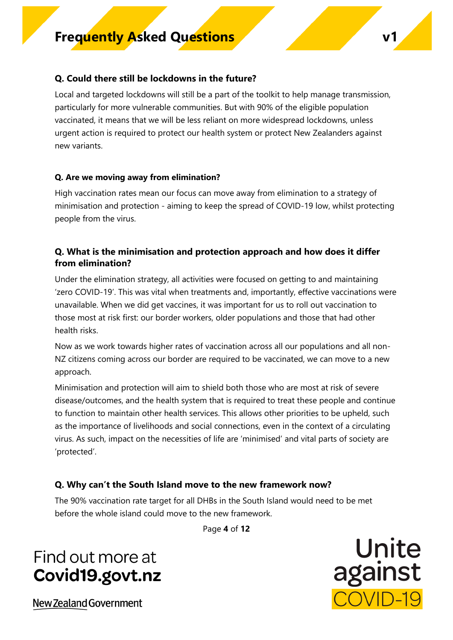### **Q. Could there still be lockdowns in the future?**

Local and targeted lockdowns will still be a part of the toolkit to help manage transmission, particularly for more vulnerable communities. But with 90% of the eligible population vaccinated, it means that we will be less reliant on more widespread lockdowns, unless urgent action is required to protect our health system or protect New Zealanders against new variants.

#### **Q. Are we moving away from elimination?**

High vaccination rates mean our focus can move away from elimination to a strategy of minimisation and protection - aiming to keep the spread of COVID-19 low, whilst protecting people from the virus.

### **Q. What is the minimisation and protection approach and how does it differ from elimination?**

Under the elimination strategy, all activities were focused on getting to and maintaining 'zero COVID-19'. This was vital when treatments and, importantly, effective vaccinations were unavailable. When we did get vaccines, it was important for us to roll out vaccination to those most at risk first: our border workers, older populations and those that had other health risks.

Now as we work towards higher rates of vaccination across all our populations and all non-NZ citizens coming across our border are required to be vaccinated, we can move to a new approach.

Minimisation and protection will aim to shield both those who are most at risk of severe disease/outcomes, and the health system that is required to treat these people and continue to function to maintain other health services. This allows other priorities to be upheld, such as the importance of livelihoods and social connections, even in the context of a circulating virus. As such, impact on the necessities of life are 'minimised' and vital parts of society are 'protected'.

### **Q. Why can't the South Island move to the new framework now?**

The 90% vaccination rate target for all DHBs in the South Island would need to be met before the whole island could move to the new framework.

Page **4** of **12**

# Find out more at Covid19.govt.nz

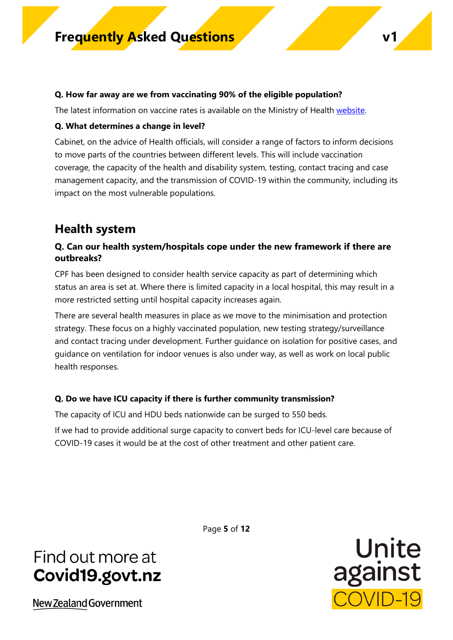#### **Q. How far away are we from vaccinating 90% of the eligible population?**

The latest information on vaccine rates is available on the Ministry of Health [website.](https://www.health.govt.nz/our-work/diseases-and-conditions/covid-19-novel-coronavirus/covid-19-data-and-statistics/covid-19-vaccine-data.)

#### **Q. What determines a change in level?**

Cabinet, on the advice of Health officials, will consider a range of factors to inform decisions to move parts of the countries between different levels. This will include vaccination coverage, the capacity of the health and disability system, testing, contact tracing and case management capacity, and the transmission of COVID-19 within the community, including its impact on the most vulnerable populations.

### **Health system**

### **Q. Can our health system/hospitals cope under the new framework if there are outbreaks?**

CPF has been designed to consider health service capacity as part of determining which status an area is set at. Where there is limited capacity in a local hospital, this may result in a more restricted setting until hospital capacity increases again.

There are several health measures in place as we move to the minimisation and protection strategy. These focus on a highly vaccinated population, new testing strategy/surveillance and contact tracing under development. Further guidance on isolation for positive cases, and guidance on ventilation for indoor venues is also under way, as well as work on local public health responses.

#### **Q. Do we have ICU capacity if there is further community transmission?**

The capacity of ICU and HDU beds nationwide can be surged to 550 beds.

If we had to provide additional surge capacity to convert beds for ICU-level care because of COVID-19 cases it would be at the cost of other treatment and other patient care.

# Find out more at Covid19.govt.nz

New Zealand Government

Page **5** of **12**

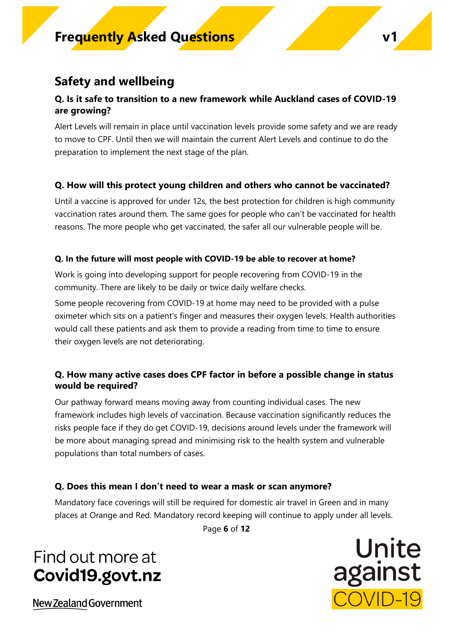### **Safety and wellbeing**

### **Q. Is it safe to transition to a new framework while Auckland cases of COVID-19 are growing?**

Alert Levels will remain in place until vaccination levels provide some safety and we are ready to move to CPF. Until then we will maintain the current Alert Levels and continue to do the preparation to implement the next stage of the plan.

### **Q. How will this protect young children and others who cannot be vaccinated?**

Until a vaccine is approved for under 12s, the best protection for children is high community vaccination rates around them. The same goes for people who can't be vaccinated for health reasons. The more people who get vaccinated, the safer all our vulnerable people will be.

### **Q. In the future will most people with COVID-19 be able to recover at home?**

Work is going into developing support for people recovering from COVID-19 in the community. There are likely to be daily or twice daily welfare checks.

Some people recovering from COVID-19 at home may need to be provided with a pulse oximeter which sits on a patient's finger and measures their oxygen levels. Health authorities would call these patients and ask them to provide a reading from time to time to ensure their oxygen levels are not deteriorating.

### **Q. How many active cases does CPF factor in before a possible change in status would be required?**

Our pathway forward means moving away from counting individual cases. The new framework includes high levels of vaccination. Because vaccination significantly reduces the risks people face if they do get COVID-19, decisions around levels under the framework will be more about managing spread and minimising risk to the health system and vulnerable populations than total numbers of cases.

### **Q. Does this mean I don't need to wear a mask or scan anymore?**

Mandatory face coverings will still be required for domestic air travel in Green and in many places at Orange and Red. Mandatory record keeping will continue to apply under all levels.

Page **6** of **12**

# Find out more at Covid19.govt.nz

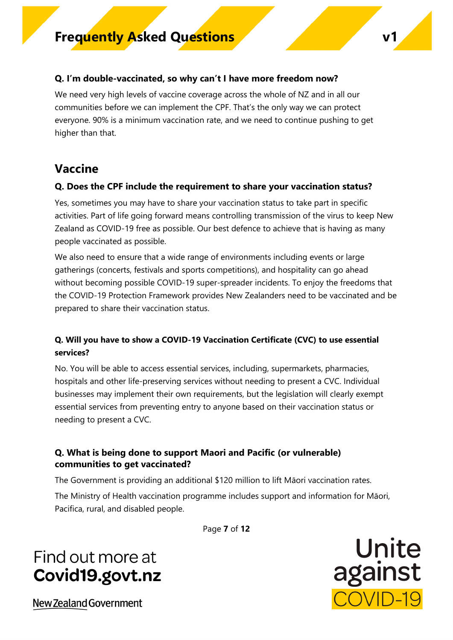### **Q. I'm double-vaccinated, so why can't I have more freedom now?**

We need very high levels of vaccine coverage across the whole of NZ and in all our communities before we can implement the CPF. That's the only way we can protect everyone. 90% is a minimum vaccination rate, and we need to continue pushing to get higher than that.

### **Vaccine**

### **Q. Does the CPF include the requirement to share your vaccination status?**

Yes, sometimes you may have to share your vaccination status to take part in specific activities. Part of life going forward means controlling transmission of the virus to keep New Zealand as COVID-19 free as possible. Our best defence to achieve that is having as many people vaccinated as possible.

We also need to ensure that a wide range of environments including events or large gatherings (concerts, festivals and sports competitions), and hospitality can go ahead without becoming possible COVID-19 super-spreader incidents. To enjoy the freedoms that the COVID-19 Protection Framework provides New Zealanders need to be vaccinated and be prepared to share their vaccination status.

### **Q. Will you have to show a COVID-19 Vaccination Certificate (CVC) to use essential services?**

No. You will be able to access essential services, including, supermarkets, pharmacies, hospitals and other life-preserving services without needing to present a CVC. Individual businesses may implement their own requirements, but the legislation will clearly exempt essential services from preventing entry to anyone based on their vaccination status or needing to present a CVC.

### **Q. What is being done to support Maori and Pacific (or vulnerable) communities to get vaccinated?**

The Government is providing an additional \$120 million to lift Māori vaccination rates.

The Ministry of Health vaccination programme includes support and information for Māori, Pacifica, rural, and disabled people.

Page **7** of **12**

# Find out more at Covid19.govt.nz

Unite against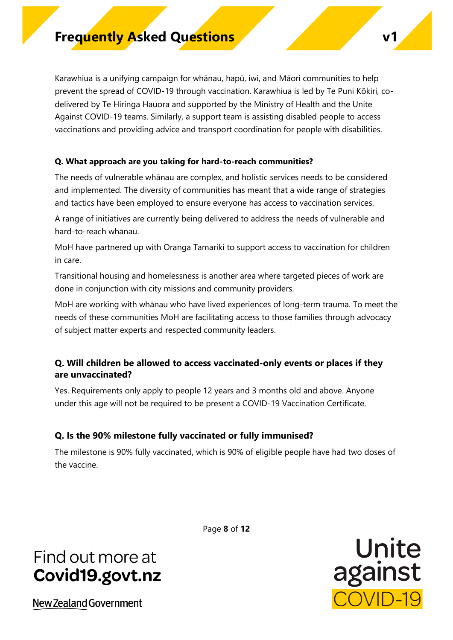Karawhiua is a unifying campaign for whānau, hapū, iwi, and Māori communities to help prevent the spread of COVID-19 through vaccination. Karawhiua is led by Te Puni Kōkiri, codelivered by Te Hiringa Hauora and supported by the Ministry of Health and the Unite Against COVID-19 teams. Similarly, a support team is assisting disabled people to access vaccinations and providing advice and transport coordination for people with disabilities.

#### **Q. What approach are you taking for hard-to-reach communities?**

The needs of vulnerable whānau are complex, and holistic services needs to be considered and implemented. The diversity of communities has meant that a wide range of strategies and tactics have been employed to ensure everyone has access to vaccination services.

A range of initiatives are currently being delivered to address the needs of vulnerable and hard-to-reach whānau.

MoH have partnered up with Oranga Tamariki to support access to vaccination for children in care.

Transitional housing and homelessness is another area where targeted pieces of work are done in conjunction with city missions and community providers.

MoH are working with whānau who have lived experiences of long-term trauma. To meet the needs of these communities MoH are facilitating access to those families through advocacy of subject matter experts and respected community leaders.

### **Q. Will children be allowed to access vaccinated-only events or places if they are unvaccinated?**

Yes. Requirements only apply to people 12 years and 3 months old and above. Anyone under this age will not be required to be present a COVID-19 Vaccination Certificate.

#### **Q. Is the 90% milestone fully vaccinated or fully immunised?**

The milestone is 90% fully vaccinated, which is 90% of eligible people have had two doses of the vaccine.

# Find out more at Covid19.govt.nz

New Zealand Government

Page **8** of **12**

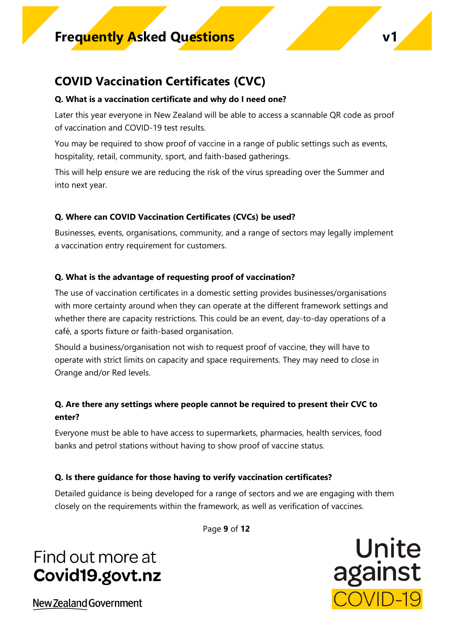### **COVID Vaccination Certificates (CVC)**

#### **Q. What is a vaccination certificate and why do I need one?**

Later this year everyone in New Zealand will be able to access a scannable QR code as proof of vaccination and COVID-19 test results.

You may be required to show proof of vaccine in a range of public settings such as events, hospitality, retail, community, sport, and faith-based gatherings.

This will help ensure we are reducing the risk of the virus spreading over the Summer and into next year.

### **Q. Where can COVID Vaccination Certificates (CVCs) be used?**

Businesses, events, organisations, community, and a range of sectors may legally implement a vaccination entry requirement for customers.

### **Q. What is the advantage of requesting proof of vaccination?**

The use of vaccination certificates in a domestic setting provides businesses/organisations with more certainty around when they can operate at the different framework settings and whether there are capacity restrictions. This could be an event, day-to-day operations of a café, a sports fixture or faith-based organisation.

Should a business/organisation not wish to request proof of vaccine, they will have to operate with strict limits on capacity and space requirements. They may need to close in Orange and/or Red levels.

### **Q. Are there any settings where people cannot be required to present their CVC to enter?**

Everyone must be able to have access to supermarkets, pharmacies, health services, food banks and petrol stations without having to show proof of vaccine status.

### **Q. Is there guidance for those having to verify vaccination certificates?**

Detailed guidance is being developed for a range of sectors and we are engaging with them closely on the requirements within the framework, as well as verification of vaccines.

Page **9** of **12**

# Find out more at Covid19.govt.nz

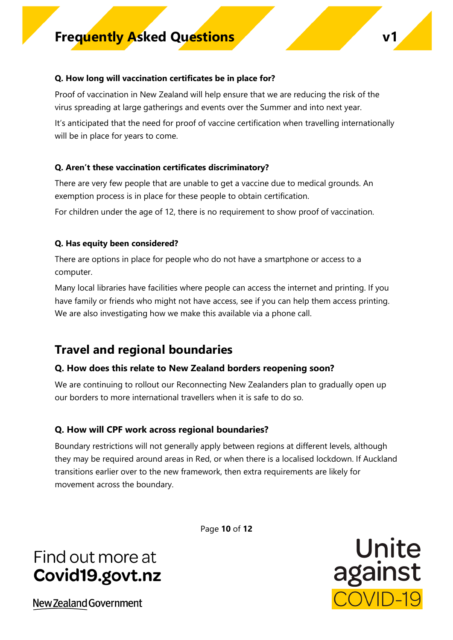#### **Q. How long will vaccination certificates be in place for?**

Proof of vaccination in New Zealand will help ensure that we are reducing the risk of the virus spreading at large gatherings and events over the Summer and into next year.

It's anticipated that the need for proof of vaccine certification when travelling internationally will be in place for years to come.

#### **Q. Aren't these vaccination certificates discriminatory?**

There are very few people that are unable to get a vaccine due to medical grounds. An exemption process is in place for these people to obtain certification.

For children under the age of 12, there is no requirement to show proof of vaccination.

#### **Q. Has equity been considered?**

There are options in place for people who do not have a smartphone or access to a computer.

Many local libraries have facilities where people can access the internet and printing. If you have family or friends who might not have access, see if you can help them access printing. We are also investigating how we make this available via a phone call.

### **Travel and regional boundaries**

#### **Q. How does this relate to New Zealand borders reopening soon?**

We are continuing to rollout our Reconnecting New Zealanders plan to gradually open up our borders to more international travellers when it is safe to do so.

#### **Q. How will CPF work across regional boundaries?**

Boundary restrictions will not generally apply between regions at different levels, although they may be required around areas in Red, or when there is a localised lockdown. If Auckland transitions earlier over to the new framework, then extra requirements are likely for movement across the boundary.

Page **10** of **12**

# Find out more at Covid19.govt.nz

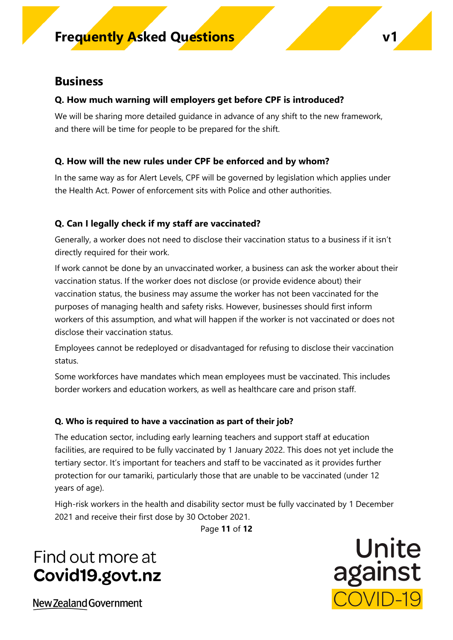### **Business**

### **Q. How much warning will employers get before CPF is introduced?**

We will be sharing more detailed guidance in advance of any shift to the new framework, and there will be time for people to be prepared for the shift.

### **Q. How will the new rules under CPF be enforced and by whom?**

In the same way as for Alert Levels, CPF will be governed by legislation which applies under the Health Act. Power of enforcement sits with Police and other authorities.

### **Q. Can I legally check if my staff are vaccinated?**

Generally, a worker does not need to disclose their vaccination status to a business if it isn't directly required for their work.

If work cannot be done by an unvaccinated worker, a business can ask the worker about their vaccination status. If the worker does not disclose (or provide evidence about) their vaccination status, the business may assume the worker has not been vaccinated for the purposes of managing health and safety risks. However, businesses should first inform workers of this assumption, and what will happen if the worker is not vaccinated or does not disclose their vaccination status.

Employees cannot be redeployed or disadvantaged for refusing to disclose their vaccination status.

Some workforces have mandates which mean employees must be vaccinated. This includes border workers and education workers, as well as healthcare care and prison staff.

### **Q. Who is required to have a vaccination as part of their job?**

The education sector, including early learning teachers and support staff at education facilities, are required to be fully vaccinated by 1 January 2022. This does not yet include the tertiary sector. It's important for teachers and staff to be vaccinated as it provides further protection for our tamariki, particularly those that are unable to be vaccinated (under 12 years of age).

High-risk workers in the health and disability sector must be fully vaccinated by 1 December 2021 and receive their first dose by 30 October 2021.

Page **11** of **12**

# Find out more at Covid19.govt.nz